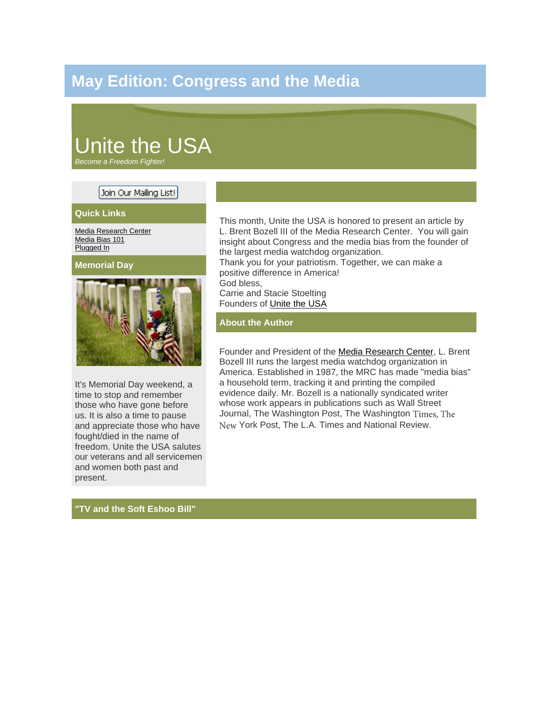## **May Edition: Congress and the Media**

# Unite the USA

*Become a Freedom Fighter!*

### Join Our Mailing List!

#### **Quick Links**

[Media Research Center](http://www.mrc.org/public/default.aspx) [Media Bias 101](http://www.mrc.org/static/biasbasics/MediaBias101.aspx) [Plugged In](http://www.pluggedin.com/)

**Memorial Day**



It's Memorial Day weekend, a time to stop and remember those who have gone before us. It is also a time to pause and appreciate those who have fought/died in the name of freedom. Unite the USA salutes our veterans and all servicemen and women both past and present.

This month, Unite the USA is honored to present an article by L. Brent Bozell III of the Media Research Center. You will gain insight about Congress and the media bias from the founder of the largest media watchdog organization. Thank you for your patriotism. Together, we can make a positive difference in America! God bless, Carrie and Stacie Stoelting Founders of [Unite the USA](http://www.unitetheusa.org/)

#### **About the Author**

Founder and President of the [Media Research Center,](http://www.mrc.org/public/default.aspx) L. Brent Bozell III runs the largest media watchdog organization in America. Established in 1987, the MRC has made "media bias" a household term, tracking it and printing the compiled evidence daily. Mr. Bozell is a nationally syndicated writer whose work appears in publications such as Wall Street Journal, The Washington Post, The Washington Times, The York Post, The L.A. Times and National Review.

#### **"TV and the Soft Eshoo Bill"**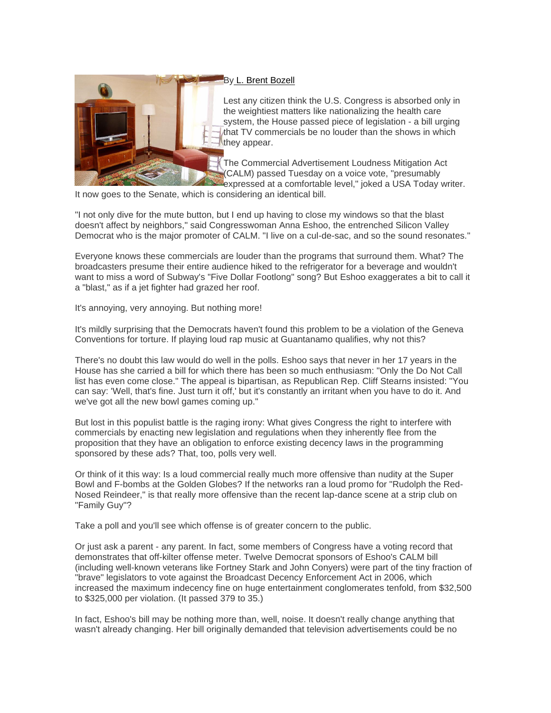

#### By [L. Brent Bozell](http://www.mrc.org/public/default.aspx)

Lest any citizen think the U.S. Congress is absorbed only in the weightiest matters like nationalizing the health care system, the House passed piece of legislation - a bill urging that TV commercials be no louder than the shows in which they appear.

The Commercial Advertisement Loudness Mitigation Act (CALM) passed Tuesday on a voice vote, "presumably expressed at a comfortable level," joked a USA Today writer.

It now goes to the Senate, which is considering an identical bill.

"I not only dive for the mute button, but I end up having to close my windows so that the blast doesn't affect by neighbors," said Congresswoman Anna Eshoo, the entrenched Silicon Valley Democrat who is the major promoter of CALM. "I live on a cul-de-sac, and so the sound resonates."

Everyone knows these commercials are louder than the programs that surround them. What? The broadcasters presume their entire audience hiked to the refrigerator for a beverage and wouldn't want to miss a word of Subway's "Five Dollar Footlong" song? But Eshoo exaggerates a bit to call it a "blast," as if a jet fighter had grazed her roof.

It's annoying, very annoying. But nothing more!

It's mildly surprising that the Democrats haven't found this problem to be a violation of the Geneva Conventions for torture. If playing loud rap music at Guantanamo qualifies, why not this?

There's no doubt this law would do well in the polls. Eshoo says that never in her 17 years in the House has she carried a bill for which there has been so much enthusiasm: "Only the Do Not Call list has even come close." The appeal is bipartisan, as Republican Rep. Cliff Stearns insisted: "You can say: 'Well, that's fine. Just turn it off,' but it's constantly an irritant when you have to do it. And we've got all the new bowl games coming up."

But lost in this populist battle is the raging irony: What gives Congress the right to interfere with commercials by enacting new legislation and regulations when they inherently flee from the proposition that they have an obligation to enforce existing decency laws in the programming sponsored by these ads? That, too, polls very well.

Or think of it this way: Is a loud commercial really much more offensive than nudity at the Super Bowl and F-bombs at the Golden Globes? If the networks ran a loud promo for "Rudolph the Red-Nosed Reindeer," is that really more offensive than the recent lap-dance scene at a strip club on "Family Guy"?

Take a poll and you'll see which offense is of greater concern to the public.

Or just ask a parent - any parent. In fact, some members of Congress have a voting record that demonstrates that off-kilter offense meter. Twelve Democrat sponsors of Eshoo's CALM bill (including well-known veterans like Fortney Stark and John Conyers) were part of the tiny fraction of "brave" legislators to vote against the Broadcast Decency Enforcement Act in 2006, which increased the maximum indecency fine on huge entertainment conglomerates tenfold, from \$32,500 to \$325,000 per violation. (It passed 379 to 35.)

In fact, Eshoo's bill may be nothing more than, well, noise. It doesn't really change anything that wasn't already changing. Her bill originally demanded that television advertisements could be no